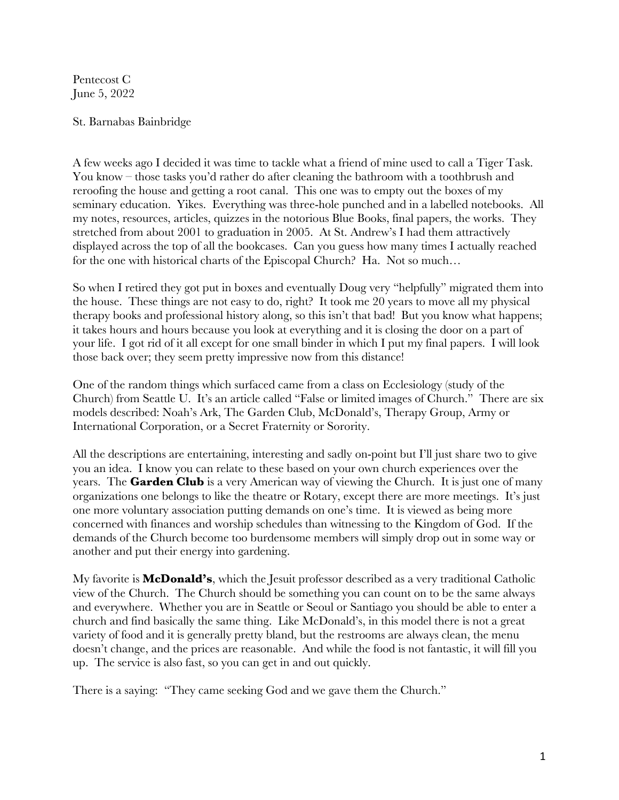Pentecost C June 5, 2022

## St. Barnabas Bainbridge

A few weeks ago I decided it was time to tackle what a friend of mine used to call a Tiger Task. You know – those tasks you'd rather do after cleaning the bathroom with a toothbrush and reroofing the house and getting a root canal. This one was to empty out the boxes of my seminary education. Yikes. Everything was three-hole punched and in a labelled notebooks. All my notes, resources, articles, quizzes in the notorious Blue Books, final papers, the works. They stretched from about 2001 to graduation in 2005. At St. Andrew's I had them attractively displayed across the top of all the bookcases. Can you guess how many times I actually reached for the one with historical charts of the Episcopal Church? Ha. Not so much…

So when I retired they got put in boxes and eventually Doug very "helpfully" migrated them into the house. These things are not easy to do, right? It took me 20 years to move all my physical therapy books and professional history along, so this isn't that bad! But you know what happens; it takes hours and hours because you look at everything and it is closing the door on a part of your life. I got rid of it all except for one small binder in which I put my final papers. I will look those back over; they seem pretty impressive now from this distance!

One of the random things which surfaced came from a class on Ecclesiology (study of the Church) from Seattle U. It's an article called "False or limited images of Church." There are six models described: Noah's Ark, The Garden Club, McDonald's, Therapy Group, Army or International Corporation, or a Secret Fraternity or Sorority.

All the descriptions are entertaining, interesting and sadly on-point but I'll just share two to give you an idea. I know you can relate to these based on your own church experiences over the years. The **Garden Club** is a very American way of viewing the Church. It is just one of many organizations one belongs to like the theatre or Rotary, except there are more meetings. It's just one more voluntary association putting demands on one's time. It is viewed as being more concerned with finances and worship schedules than witnessing to the Kingdom of God. If the demands of the Church become too burdensome members will simply drop out in some way or another and put their energy into gardening.

My favorite is **McDonald's**, which the Jesuit professor described as a very traditional Catholic view of the Church. The Church should be something you can count on to be the same always and everywhere. Whether you are in Seattle or Seoul or Santiago you should be able to enter a church and find basically the same thing. Like McDonald's, in this model there is not a great variety of food and it is generally pretty bland, but the restrooms are always clean, the menu doesn't change, and the prices are reasonable. And while the food is not fantastic, it will fill you up. The service is also fast, so you can get in and out quickly.

There is a saying: "They came seeking God and we gave them the Church."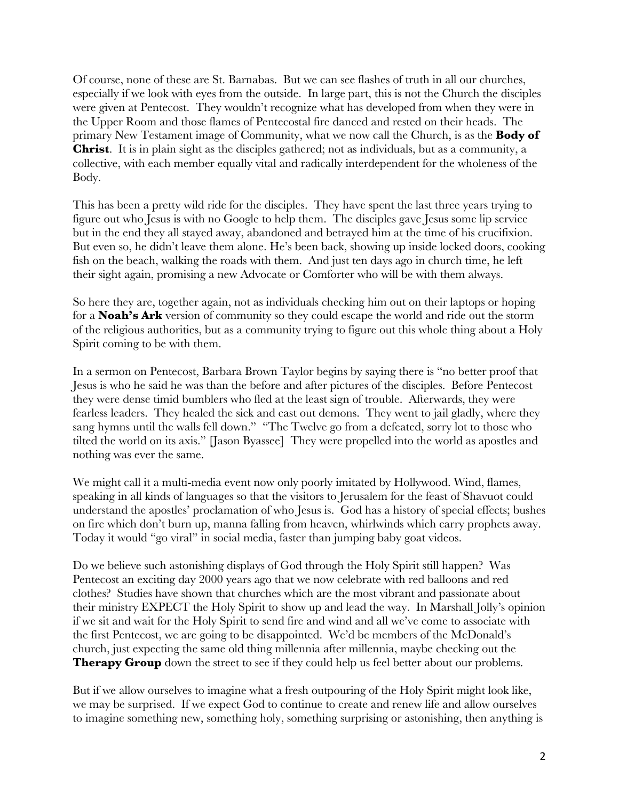Of course, none of these are St. Barnabas. But we can see flashes of truth in all our churches, especially if we look with eyes from the outside. In large part, this is not the Church the disciples were given at Pentecost. They wouldn't recognize what has developed from when they were in the Upper Room and those flames of Pentecostal fire danced and rested on their heads. The primary New Testament image of Community, what we now call the Church, is as the **Body of Christ**. It is in plain sight as the disciples gathered; not as individuals, but as a community, a collective, with each member equally vital and radically interdependent for the wholeness of the Body.

This has been a pretty wild ride for the disciples. They have spent the last three years trying to figure out who Jesus is with no Google to help them. The disciples gave Jesus some lip service but in the end they all stayed away, abandoned and betrayed him at the time of his crucifixion. But even so, he didn't leave them alone. He's been back, showing up inside locked doors, cooking fish on the beach, walking the roads with them. And just ten days ago in church time, he left their sight again, promising a new Advocate or Comforter who will be with them always.

So here they are, together again, not as individuals checking him out on their laptops or hoping for a **Noah's Ark** version of community so they could escape the world and ride out the storm of the religious authorities, but as a community trying to figure out this whole thing about a Holy Spirit coming to be with them.

In a sermon on Pentecost, Barbara Brown Taylor begins by saying there is "no better proof that Jesus is who he said he was than the before and after pictures of the disciples. Before Pentecost they were dense timid bumblers who fled at the least sign of trouble. Afterwards, they were fearless leaders. They healed the sick and cast out demons. They went to jail gladly, where they sang hymns until the walls fell down." "The Twelve go from a defeated, sorry lot to those who tilted the world on its axis." [Jason Byassee] They were propelled into the world as apostles and nothing was ever the same.

We might call it a multi-media event now only poorly imitated by Hollywood. Wind, flames, speaking in all kinds of languages so that the visitors to Jerusalem for the feast of Shavuot could understand the apostles' proclamation of who Jesus is. God has a history of special effects; bushes on fire which don't burn up, manna falling from heaven, whirlwinds which carry prophets away. Today it would "go viral" in social media, faster than jumping baby goat videos.

Do we believe such astonishing displays of God through the Holy Spirit still happen? Was Pentecost an exciting day 2000 years ago that we now celebrate with red balloons and red clothes? Studies have shown that churches which are the most vibrant and passionate about their ministry EXPECT the Holy Spirit to show up and lead the way. In Marshall Jolly's opinion if we sit and wait for the Holy Spirit to send fire and wind and all we've come to associate with the first Pentecost, we are going to be disappointed. We'd be members of the McDonald's church, just expecting the same old thing millennia after millennia, maybe checking out the **Therapy Group** down the street to see if they could help us feel better about our problems.

But if we allow ourselves to imagine what a fresh outpouring of the Holy Spirit might look like, we may be surprised. If we expect God to continue to create and renew life and allow ourselves to imagine something new, something holy, something surprising or astonishing, then anything is